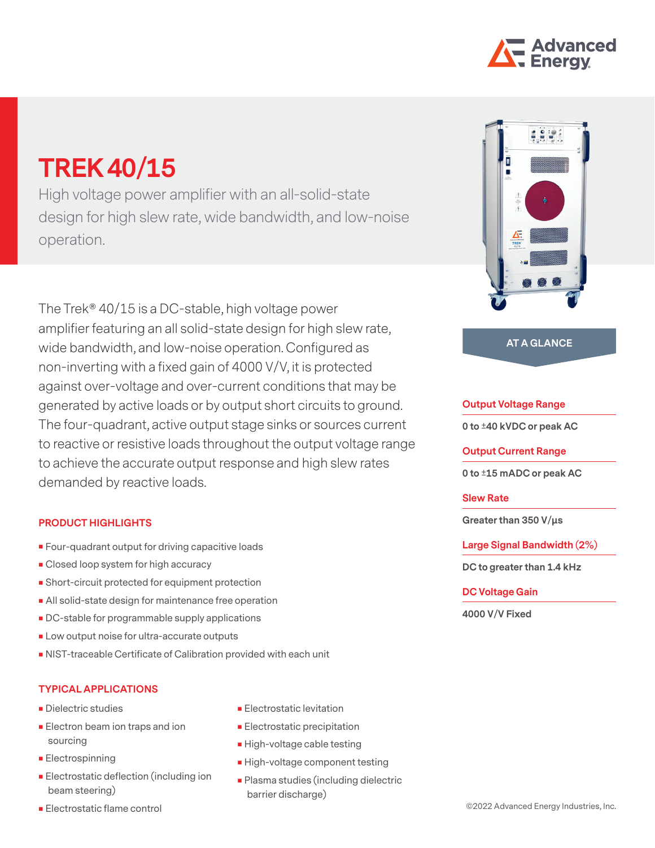

# **TREK 40/15**

High voltage power amplifier with an all-solid-state design for high slew rate, wide bandwidth, and low-noise operation.

The Trek® 40/15 is a DC-stable, high voltage power amplifier featuring an all solid-state design for high slew rate, wide bandwidth, and low-noise operation. Configured as non-inverting with a fixed gain of 4000 V/V, it is protected against over-voltage and over-current conditions that may be generated by active loads or by output short circuits to ground. The four-quadrant, active output stage sinks or sources current to reactive or resistive loads throughout the output voltage range to achieve the accurate output response and high slew rates demanded by reactive loads.

### **PRODUCT HIGHLIGHTS**

- **Four-quadrant output for driving capacitive loads**
- **Closed loop system for high accuracy**
- Short-circuit protected for equipment protection
- **All solid-state design for maintenance free operation**
- **DC-stable for programmable supply applications**
- **Low output noise for ultra-accurate outputs**
- NIST-traceable Certificate of Calibration provided with each unit

## **TYPICAL APPLICATIONS**

- **Dielectric studies**
- **Electron beam ion traps and ion** sourcing
- **Electrospinning**
- **Electrostatic deflection (including ion** beam steering)
- **Electrostatic flame control**
- **Electrostatic levitation**
- **Electrostatic precipitation**
- **High-voltage cable testing**
- **High-voltage component testing**
- **Plasma studies (including dielectric** barrier discharge)



### **AT A GLANCE**

#### **Output Voltage Range**

**0 to ±40 kVDC or peak AC**

**Output Current Range**

**0 to ±15 mADC or peak AC**

#### **Slew Rate**

**Greater than 350 V/μs**

**Large Signal Bandwidth (2%)**

**DC to greater than 1.4 kHz**

#### **DC Voltage Gain**

**4000 V/V Fixed**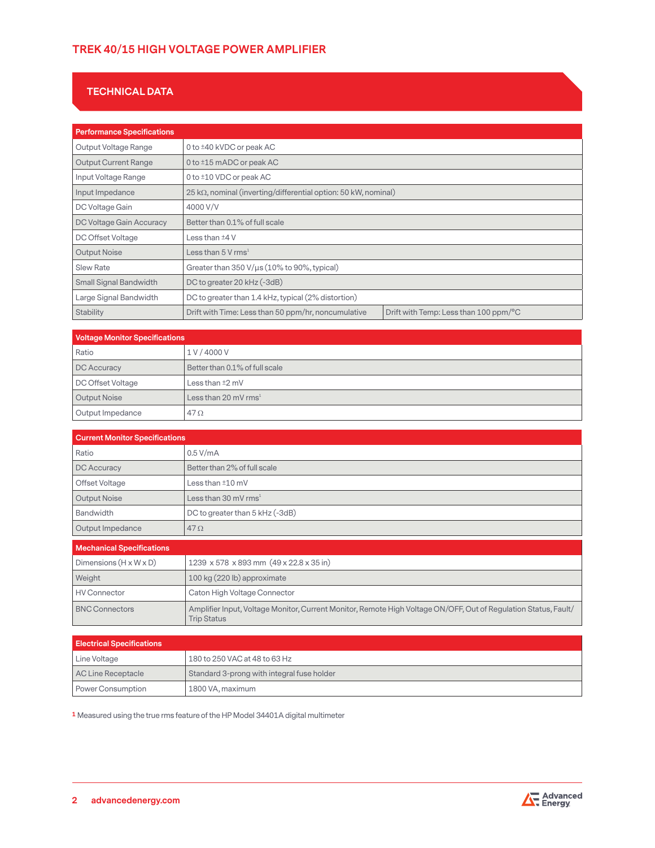# **TREK 40/15 HIGH VOLTAGE POWER AMPLIFIER**

# **TECHNICAL DATA**

| <b>Performance Specifications</b> |                                                                |                                       |
|-----------------------------------|----------------------------------------------------------------|---------------------------------------|
| Output Voltage Range              | 0 to ±40 kVDC or peak AC                                       |                                       |
| <b>Output Current Range</b>       | 0 to $\pm 15$ mADC or peak AC                                  |                                       |
| Input Voltage Range               | 0 to ±10 VDC or peak AC                                        |                                       |
| Input Impedance                   | 25 kΩ, nominal (inverting/differential option: 50 kW, nominal) |                                       |
| DC Voltage Gain                   | 4000 V/V                                                       |                                       |
| DC Voltage Gain Accuracy          | Better than 0.1% of full scale                                 |                                       |
| DC Offset Voltage                 | Less than ±4 V                                                 |                                       |
| <b>Output Noise</b>               | Less than 5 V rms $^1$                                         |                                       |
| <b>Slew Rate</b>                  | Greater than 350 V/µs (10% to 90%, typical)                    |                                       |
| <b>Small Signal Bandwidth</b>     | DC to greater 20 kHz (-3dB)                                    |                                       |
| Large Signal Bandwidth            | DC to greater than 1.4 kHz, typical (2% distortion)            |                                       |
| <b>Stability</b>                  | Drift with Time: Less than 50 ppm/hr, noncumulative            | Drift with Temp: Less than 100 ppm/°C |

| <b>Voltage Monitor Specifications</b> |                                |
|---------------------------------------|--------------------------------|
| Ratio                                 | 1V/4000V                       |
| DC Accuracy                           | Better than 0.1% of full scale |
| DC Offset Voltage                     | Less than $±2$ mV              |
| <b>Output Noise</b>                   | Less than 20 mV $\text{rms}^1$ |
| Output Impedance                      | $47\Omega$                     |

| <b>Current Monitor Specifications</b> |                                 |
|---------------------------------------|---------------------------------|
| Ratio                                 | $0.5$ V/mA                      |
| DC Accuracy                           | Better than 2% of full scale    |
| Offset Voltage                        | Less than $±10$ mV              |
| <b>Output Noise</b>                   | Less than 30 mV $rms1$          |
| <b>Bandwidth</b>                      | DC to greater than 5 kHz (-3dB) |
| Output Impedance                      | $47\Omega$                      |

| <b>Mechanical Specifications</b>   |                                                                                                                                       |
|------------------------------------|---------------------------------------------------------------------------------------------------------------------------------------|
| Dimensions $(H \times W \times D)$ | $1239 \times 578 \times 893$ mm $(49 \times 22.8 \times 35)$ in                                                                       |
| Weight                             | 100 kg (220 lb) approximate                                                                                                           |
| <b>HV Connector</b>                | Caton High Voltage Connector                                                                                                          |
| <b>BNC Connectors</b>              | Amplifier Input, Voltage Monitor, Current Monitor, Remote High Voltage ON/OFF, Out of Regulation Status, Fault/<br><b>Trip Status</b> |

| <b>Electrical Specifications</b> |                                            |
|----------------------------------|--------------------------------------------|
| Line Voltage                     | 180 to 250 VAC at 48 to 63 Hz              |
| AC Line Receptacle               | Standard 3-prong with integral fuse holder |
| Power Consumption                | 1800 VA, maximum                           |

**1** Measured using the true rms feature of the HP Model 34401A digital multimeter

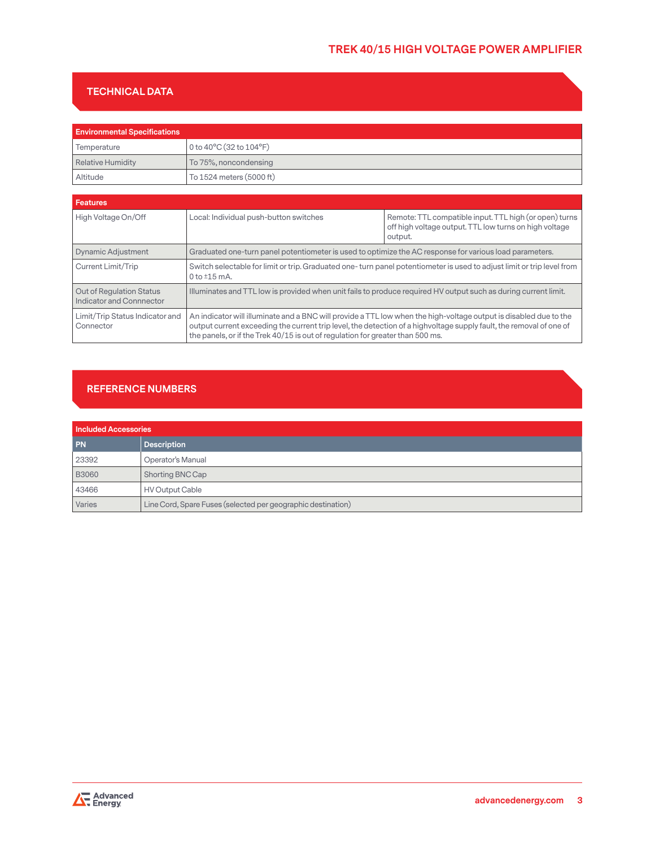# **TREK 40/15 HIGH VOLTAGE POWER AMPLIFIER**

## **TECHNICAL DATA**

| <b>Environmental Specifications</b> |                                             |
|-------------------------------------|---------------------------------------------|
| Temperature                         | 0 to $40^{\circ}$ C (32 to $104^{\circ}$ F) |
| Relative Humidity                   | To 75%, noncondensing                       |
| Altitude                            | To 1524 meters (5000 ft)                    |

| Features                                             |                                                                                                                                                                                                                                                                                                                            |                                                                                                                             |
|------------------------------------------------------|----------------------------------------------------------------------------------------------------------------------------------------------------------------------------------------------------------------------------------------------------------------------------------------------------------------------------|-----------------------------------------------------------------------------------------------------------------------------|
| High Voltage On/Off                                  | Local: Individual push-button switches                                                                                                                                                                                                                                                                                     | Remote: TTL compatible input. TTL high (or open) turns<br>off high voltage output. TTL low turns on high voltage<br>output. |
| <b>Dynamic Adjustment</b>                            | Graduated one-turn panel potentiometer is used to optimize the AC response for various load parameters.                                                                                                                                                                                                                    |                                                                                                                             |
| Current Limit/Trip                                   | Switch selectable for limit or trip. Graduated one-turn panel potentiometer is used to adjust limit or trip level from<br>0 to $\pm 15$ mA.                                                                                                                                                                                |                                                                                                                             |
| Out of Regulation Status<br>Indicator and Connnector | Illuminates and TTL low is provided when unit fails to produce required HV output such as during current limit.                                                                                                                                                                                                            |                                                                                                                             |
| Limit/Trip Status Indicator and<br>Connector         | An indicator will illuminate and a BNC will provide a TTL low when the high-voltage output is disabled due to the<br>output current exceeding the current trip level, the detection of a highvoltage supply fault, the removal of one of<br>the panels, or if the Trek 40/15 is out of regulation for greater than 500 ms. |                                                                                                                             |

# **REFERENCE NUMBERS**

| <b>Included Accessories</b> |                                                              |
|-----------------------------|--------------------------------------------------------------|
| <b>PN</b>                   | <b>Description</b>                                           |
| 23392                       | Operator's Manual                                            |
| <b>B3060</b>                | Shorting BNC Cap                                             |
| 43466                       | <b>HV Output Cable</b>                                       |
| Varies                      | Line Cord, Spare Fuses (selected per geographic destination) |